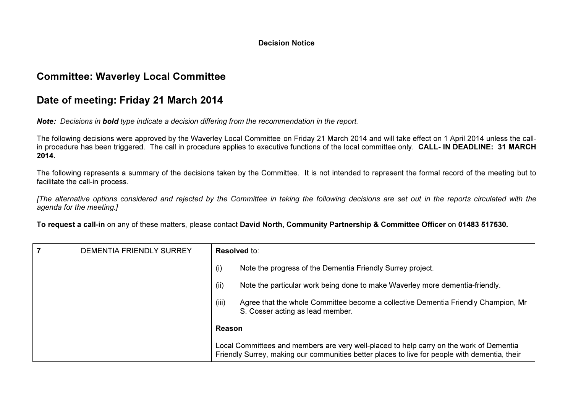#### Decision Notice

# Committee: Waverley Local Committee

# Date of meeting: Friday 21 March 2014

Note: Decisions in bold type indicate a decision differing from the recommendation in the report.

The following decisions were approved by the Waverley Local Committee on Friday 21 March 2014 and will take effect on 1 April 2014 unless the callin procedure has been triggered. The call in procedure applies to executive functions of the local committee only. **CALL- IN DEADLINE: 31 MARCH** 2014.

The following represents a summary of the decisions taken by the Committee. It is not intended to represent the formal record of the meeting but to facilitate the call-in process.

[The alternative options considered and rejected by the Committee in taking the following decisions are set out in the reports circulated with the agenda for the meeting.]

To request a call-in on any of these matters, please contact David North, Community Partnership & Committee Officer on 01483 517530.

| DEMENTIA FRIENDLY SURREY | Resolved to:                                                                                                                                                                             |
|--------------------------|------------------------------------------------------------------------------------------------------------------------------------------------------------------------------------------|
|                          | Note the progress of the Dementia Friendly Surrey project.<br>(i)                                                                                                                        |
|                          | (ii)<br>Note the particular work being done to make Waverley more dementia-friendly.                                                                                                     |
|                          | (iii)<br>Agree that the whole Committee become a collective Dementia Friendly Champion, Mr<br>S. Cosser acting as lead member.                                                           |
|                          | Reason                                                                                                                                                                                   |
|                          | Local Committees and members are very well-placed to help carry on the work of Dementia<br>Friendly Surrey, making our communities better places to live for people with dementia, their |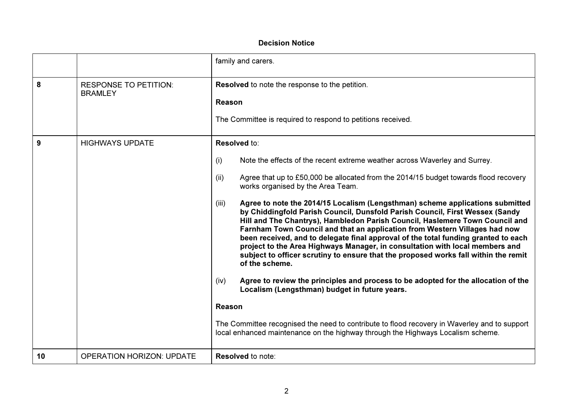### Decision Notice

|    |                                                | family and carers.                                                                                                                                                                                                                                                                                                                                                                                                                                                                                                                                                                                                                                                                                                                                                                                                                                                                                                                                                                                                                                                                                                                                                                                        |
|----|------------------------------------------------|-----------------------------------------------------------------------------------------------------------------------------------------------------------------------------------------------------------------------------------------------------------------------------------------------------------------------------------------------------------------------------------------------------------------------------------------------------------------------------------------------------------------------------------------------------------------------------------------------------------------------------------------------------------------------------------------------------------------------------------------------------------------------------------------------------------------------------------------------------------------------------------------------------------------------------------------------------------------------------------------------------------------------------------------------------------------------------------------------------------------------------------------------------------------------------------------------------------|
| 8  | <b>RESPONSE TO PETITION:</b><br><b>BRAMLEY</b> | Resolved to note the response to the petition.<br>Reason<br>The Committee is required to respond to petitions received.                                                                                                                                                                                                                                                                                                                                                                                                                                                                                                                                                                                                                                                                                                                                                                                                                                                                                                                                                                                                                                                                                   |
| 9  | <b>HIGHWAYS UPDATE</b>                         | Resolved to:<br>Note the effects of the recent extreme weather across Waverley and Surrey.<br>(i)<br>(ii)<br>Agree that up to £50,000 be allocated from the 2014/15 budget towards flood recovery<br>works organised by the Area Team.<br>Agree to note the 2014/15 Localism (Lengsthman) scheme applications submitted<br>(iii)<br>by Chiddingfold Parish Council, Dunsfold Parish Council, First Wessex (Sandy<br>Hill and The Chantrys), Hambledon Parish Council, Haslemere Town Council and<br>Farnham Town Council and that an application from Western Villages had now<br>been received, and to delegate final approval of the total funding granted to each<br>project to the Area Highways Manager, in consultation with local members and<br>subject to officer scrutiny to ensure that the proposed works fall within the remit<br>of the scheme.<br>Agree to review the principles and process to be adopted for the allocation of the<br>(iv)<br>Localism (Lengsthman) budget in future years.<br>Reason<br>The Committee recognised the need to contribute to flood recovery in Waverley and to support<br>local enhanced maintenance on the highway through the Highways Localism scheme. |
| 10 | <b>OPERATION HORIZON: UPDATE</b>               | <b>Resolved to note:</b>                                                                                                                                                                                                                                                                                                                                                                                                                                                                                                                                                                                                                                                                                                                                                                                                                                                                                                                                                                                                                                                                                                                                                                                  |